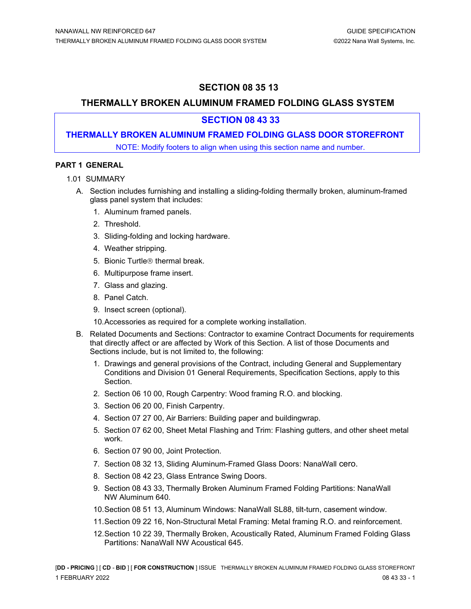# **SECTION 08 35 13**

# **THERMALLY BROKEN ALUMINUM FRAMED FOLDING GLASS SYSTEM**

## **SECTION 08 43 33**

## **THERMALLY BROKEN ALUMINUM FRAMED FOLDING GLASS DOOR STOREFRONT**

NOTE: Modify footers to align when using this section name and number.

## **PART 1 GENERAL**

- 1.01 SUMMARY
	- A. Section includes furnishing and installing a sliding-folding thermally broken, aluminum-framed glass panel system that includes:
		- 1. Aluminum framed panels.
		- 2. Threshold.
		- 3. Sliding-folding and locking hardware.
		- 4. Weather stripping.
		- 5. Bionic Turtle<sup>®</sup> thermal break.
		- 6. Multipurpose frame insert.
		- 7. Glass and glazing.
		- 8. Panel Catch.
		- 9. Insect screen (optional).

10.Accessories as required for a complete working installation.

- B. Related Documents and Sections: Contractor to examine Contract Documents for requirements that directly affect or are affected by Work of this Section. A list of those Documents and Sections include, but is not limited to, the following:
	- 1. Drawings and general provisions of the Contract, including General and Supplementary Conditions and Division 01 General Requirements, Specification Sections, apply to this Section.
	- 2. Section 06 10 00, Rough Carpentry: Wood framing R.O. and blocking.
	- 3. Section 06 20 00, Finish Carpentry.
	- 4. Section 07 27 00, Air Barriers: Building paper and buildingwrap.
	- 5. Section 07 62 00, Sheet Metal Flashing and Trim: Flashing gutters, and other sheet metal work.
	- 6. Section 07 90 00, Joint Protection.
	- 7. Section 08 32 13, Sliding Aluminum-Framed Glass Doors: NanaWall cero.
	- 8. Section 08 42 23, Glass Entrance Swing Doors.
	- 9. Section 08 43 33, Thermally Broken Aluminum Framed Folding Partitions: NanaWall NW Aluminum 640.
	- 10.Section 08 51 13, Aluminum Windows: NanaWall SL88, tilt-turn, casement window.
	- 11.Section 09 22 16, Non-Structural Metal Framing: Metal framing R.O. and reinforcement.
	- 12.Section 10 22 39, Thermally Broken, Acoustically Rated, Aluminum Framed Folding Glass Partitions: NanaWall NW Acoustical 645.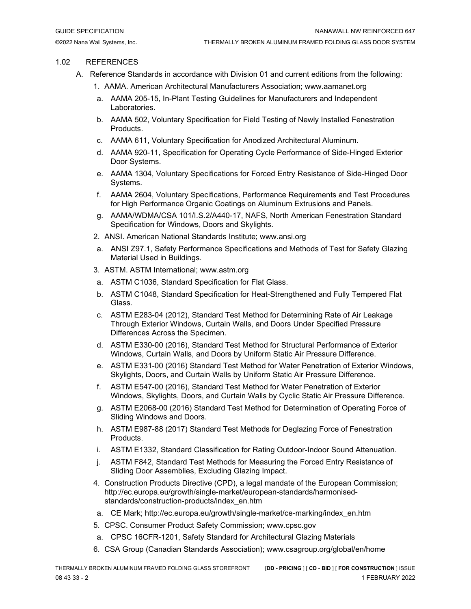## 1.02 REFERENCES

- A. Reference Standards in accordance with Division 01 and current editions from the following:
	- 1. AAMA. American Architectural Manufacturers Association; www.aamanet.org
	- a. AAMA 205-15, In-Plant Testing Guidelines for Manufacturers and Independent Laboratories.
	- b. AAMA 502, Voluntary Specification for Field Testing of Newly Installed Fenestration Products.
	- c. AAMA 611, Voluntary Specification for Anodized Architectural Aluminum.
	- d. AAMA 920-11, Specification for Operating Cycle Performance of Side-Hinged Exterior Door Systems.
	- e. AAMA 1304, Voluntary Specifications for Forced Entry Resistance of Side-Hinged Door Systems.
	- f. AAMA 2604, Voluntary Specifications, Performance Requirements and Test Procedures for High Performance Organic Coatings on Aluminum Extrusions and Panels.
	- g. AAMA/WDMA/CSA 101/I.S.2/A440-17, NAFS, North American Fenestration Standard Specification for Windows, Doors and Skylights.
	- 2. ANSI. American National Standards Institute; www.ansi.org
	- a. ANSI Z97.1, Safety Performance Specifications and Methods of Test for Safety Glazing Material Used in Buildings.
	- 3. ASTM. ASTM International; www.astm.org
	- a. ASTM C1036, Standard Specification for Flat Glass.
	- b. ASTM C1048, Standard Specification for Heat-Strengthened and Fully Tempered Flat Glass.
	- c. ASTM E283-04 (2012), Standard Test Method for Determining Rate of Air Leakage Through Exterior Windows, Curtain Walls, and Doors Under Specified Pressure Differences Across the Specimen.
	- d. ASTM E330-00 (2016), Standard Test Method for Structural Performance of Exterior Windows, Curtain Walls, and Doors by Uniform Static Air Pressure Difference.
	- e. ASTM E331-00 (2016) Standard Test Method for Water Penetration of Exterior Windows, Skylights, Doors, and Curtain Walls by Uniform Static Air Pressure Difference.
	- f. ASTM E547-00 (2016), Standard Test Method for Water Penetration of Exterior Windows, Skylights, Doors, and Curtain Walls by Cyclic Static Air Pressure Difference.
	- g. ASTM E2068-00 (2016) Standard Test Method for Determination of Operating Force of Sliding Windows and Doors.
	- h. ASTM E987-88 (2017) Standard Test Methods for Deglazing Force of Fenestration Products.
	- i. ASTM E1332, Standard Classification for Rating Outdoor-Indoor Sound Attenuation.
	- j. ASTM F842, Standard Test Methods for Measuring the Forced Entry Resistance of Sliding Door Assemblies, Excluding Glazing Impact.
	- 4. Construction Products Directive (CPD), a legal mandate of the European Commission; http://ec.europa.eu/growth/single-market/european-standards/harmonisedstandards/construction-products/index\_en.htm
	- a. CE Mark; http://ec.europa.eu/growth/single-market/ce-marking/index\_en.htm
	- 5. CPSC. Consumer Product Safety Commission; www.cpsc.gov
	- a. CPSC 16CFR-1201, Safety Standard for Architectural Glazing Materials
	- 6. CSA Group (Canadian Standards Association); www.csagroup.org/global/en/home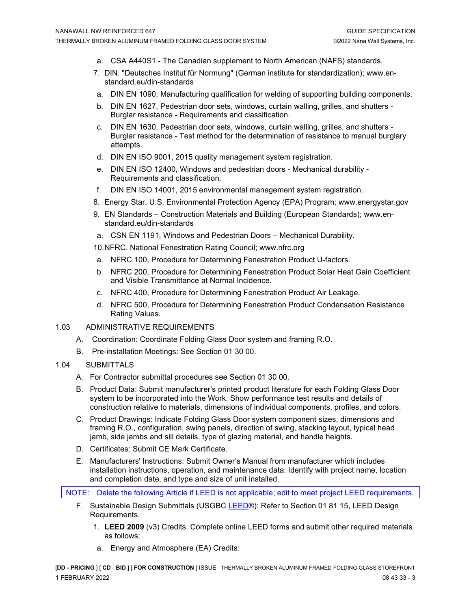- a. CSA A440S1 The Canadian supplement to North American (NAFS) standards.
- 7. DIN. "Deutsches Institut für Normung" (German institute for standardization); www.enstandard.eu/din-standards
- a. DIN EN 1090, Manufacturing qualification for welding of supporting building components.
- b. DIN EN 1627, Pedestrian door sets, windows, curtain walling, grilles, and shutters Burglar resistance - Requirements and classification.
- c. DIN EN 1630, Pedestrian door sets, windows, curtain walling, grilles, and shutters Burglar resistance - Test method for the determination of resistance to manual burglary attempts.
- d. DIN EN ISO 9001, 2015 quality management system registration.
- e. DIN EN ISO 12400, Windows and pedestrian doors Mechanical durability Requirements and classification.
- f. DIN EN ISO 14001, 2015 environmental management system registration.
- 8. Energy Star, U.S. Environmental Protection Agency (EPA) Program; www.energystar.gov
- 9. EN Standards Construction Materials and Building (European Standards); www.enstandard.eu/din-standards
- a. CSN EN 1191, Windows and Pedestrian Doors Mechanical Durability.
- 10.NFRC. National Fenestration Rating Council; www.nfrc.org
- a. NFRC 100, Procedure for Determining Fenestration Product U-factors.
- b. NFRC 200, Procedure for Determining Fenestration Product Solar Heat Gain Coefficient and Visible Transmittance at Normal Incidence.
- c. NFRC 400, Procedure for Determining Fenestration Product Air Leakage.
- d. NFRC 500, Procedure for Determining Fenestration Product Condensation Resistance Rating Values.
- 1.03 ADMINISTRATIVE REQUIREMENTS
	- A. Coordination: Coordinate Folding Glass Door system and framing R.O.
	- B. Pre-installation Meetings: See Section 01 30 00.
- 1.04 SUBMITTALS
	- A. For Contractor submittal procedures see Section 01 30 00.
	- B. Product Data: Submit manufacturer's printed product literature for each Folding Glass Door system to be incorporated into the Work. Show performance test results and details of construction relative to materials, dimensions of individual components, profiles, and colors.
	- C. Product Drawings: Indicate Folding Glass Door system component sizes, dimensions and framing R.O., configuration, swing panels, direction of swing, stacking layout, typical head jamb, side jambs and sill details, type of glazing material, and handle heights.
	- D. Certificates: Submit CE Mark Certificate.
	- E. Manufacturers' Instructions: Submit Owner's Manual from manufacturer which includes installation instructions, operation, and maintenance data: Identify with project name, location and completion date, and type and size of unit installed.

NOTE: Delete the following Article if LEED is not applicable; edit to meet project LEED requirements.

- F. Sustainable Design Submittals (USGBC [LEED®](https://www.epa.gov/sites/production/files/2014-03/documents/018113_0.pdf)): Refer to Section 01 81 15, LEED Design Requirements.
	- 1. **LEED 2009** (v3) Credits. Complete online LEED forms and submit other required materials as follows:
	- a. Energy and Atmosphere (EA) Credits: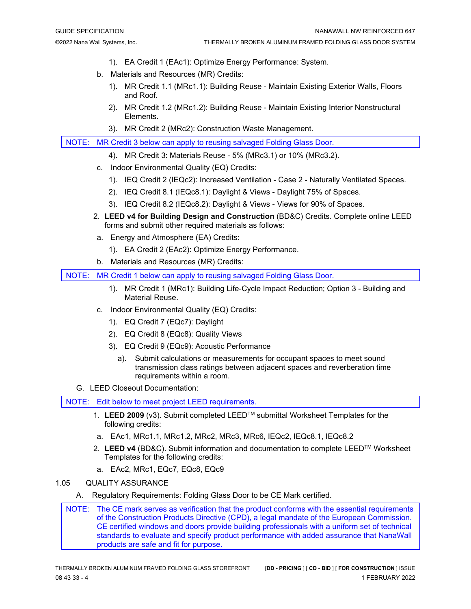- 1). EA Credit 1 (EAc1): Optimize Energy Performance: System.
- b. Materials and Resources (MR) Credits:
	- 1). MR Credit 1.1 (MRc1.1): Building Reuse Maintain Existing Exterior Walls, Floors and Roof.
	- 2). MR Credit 1.2 (MRc1.2): Building Reuse Maintain Existing Interior Nonstructural Elements.
	- 3). MR Credit 2 (MRc2): Construction Waste Management.

NOTE: MR Credit 3 below can apply to reusing salvaged Folding Glass Door.

- 4). MR Credit 3: Materials Reuse 5% (MRc3.1) or 10% (MRc3.2).
- c. Indoor Environmental Quality (EQ) Credits:
	- 1). IEQ Credit 2 (IEQc2): Increased Ventilation Case 2 Naturally Ventilated Spaces.
	- 2). IEQ Credit 8.1 (IEQc8.1): Daylight & Views Daylight 75% of Spaces.
	- 3). IEQ Credit 8.2 (IEQc8.2): Daylight & Views Views for 90% of Spaces.
- 2. **LEED v4 for Building Design and Construction** (BD&C) Credits. Complete online LEED forms and submit other required materials as follows:
- a. Energy and Atmosphere (EA) Credits:
	- 1). EA Credit 2 (EAc2): Optimize Energy Performance.
- b. Materials and Resources (MR) Credits:

NOTE: MR Credit 1 below can apply to reusing salvaged Folding Glass Door.

- 1). MR Credit 1 (MRc1): Building Life-Cycle Impact Reduction; Option 3 Building and Material Reuse.
- c. Indoor Environmental Quality (EQ) Credits:
	- 1). EQ Credit 7 (EQc7): Daylight
	- 2). EQ Credit 8 (EQc8): Quality Views
	- 3). EQ Credit 9 (EQc9): Acoustic Performance
		- a). Submit calculations or measurements for occupant spaces to meet sound transmission class ratings between adjacent spaces and reverberation time requirements within a room.
- G. LEED Closeout Documentation:

NOTE: Edit below to meet project LEED requirements.

- 1. **LEED 2009** (v3). Submit completed LEEDTM submittal Worksheet Templates for the following credits:
- a. EAc1, MRc1.1, MRc1.2, MRc2, MRc3, MRc6, IEQc2, IEQc8.1, IEQc8.2
- 2. **LEED v4** (BD&C). Submit information and documentation to complete LEEDTM Worksheet Templates for the following credits:
- a. EAc2, MRc1, EQc7, EQc8, EQc9
- 1.05 QUALITY ASSURANCE
	- A. Regulatory Requirements: Folding Glass Door to be CE Mark certified.

NOTE: The CE mark serves as verification that the product conforms with the essential requirements of the Construction Products Directive (CPD), a legal mandate of the European Commission. CE certified windows and doors provide building professionals with a uniform set of technical standards to evaluate and specify product performance with added assurance that NanaWall products are safe and fit for purpose.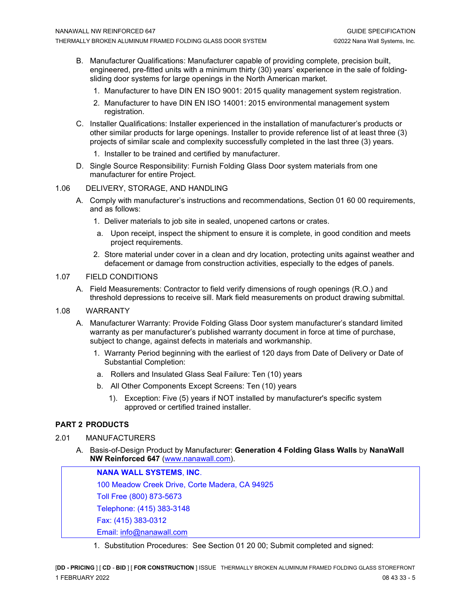- B. Manufacturer Qualifications: Manufacturer capable of providing complete, precision built, engineered, pre-fitted units with a minimum thirty (30) years' experience in the sale of foldingsliding door systems for large openings in the North American market.
	- 1. Manufacturer to have DIN EN ISO 9001: 2015 quality management system registration.
	- 2. Manufacturer to have DIN EN ISO 14001: 2015 environmental management system registration.
- C. Installer Qualifications: Installer experienced in the installation of manufacturer's products or other similar products for large openings. Installer to provide reference list of at least three (3) projects of similar scale and complexity successfully completed in the last three (3) years.
	- 1. Installer to be trained and certified by manufacturer.
- D. Single Source Responsibility: Furnish Folding Glass Door system materials from one manufacturer for entire Project.

#### 1.06 DELIVERY, STORAGE, AND HANDLING

- A. Comply with manufacturer's instructions and recommendations, Section 01 60 00 requirements, and as follows:
	- 1. Deliver materials to job site in sealed, unopened cartons or crates.
	- a. Upon receipt, inspect the shipment to ensure it is complete, in good condition and meets project requirements.
	- 2. Store material under cover in a clean and dry location, protecting units against weather and defacement or damage from construction activities, especially to the edges of panels.

#### 1.07 FIELD CONDITIONS

- A. Field Measurements: Contractor to field verify dimensions of rough openings (R.O.) and threshold depressions to receive sill. Mark field measurements on product drawing submittal.
- 1.08 WARRANTY
	- A. Manufacturer Warranty: Provide Folding Glass Door system manufacturer's standard limited warranty as per manufacturer's published warranty document in force at time of purchase, subject to change, against defects in materials and workmanship.
		- 1. Warranty Period beginning with the earliest of 120 days from Date of Delivery or Date of Substantial Completion:
		- a. Rollers and Insulated Glass Seal Failure: Ten (10) years
		- b. All Other Components Except Screens: Ten (10) years
			- 1). Exception: Five (5) years if NOT installed by manufacturer's specific system approved or certified trained installer.

## **PART 2 PRODUCTS**

## 2.01 MANUFACTURERS

A. Basis-of-Design Product by Manufacturer: **Generation 4 Folding Glass Walls** by **NanaWall NW Reinforced 647** [\(www.nanawall.com\)](http://www.nanawall.com/).

**NANA WALL SYSTEMS**, **INC**. 100 Meadow Creek Drive, Corte Madera, CA 94925 Toll Free (800) 873-5673 Telephone: (415) 383-3148 Fax: (415) 383-0312 Email: [info@nanawall.com](mailto:info@nanawall.com)

1. Substitution Procedures: See Section 01 20 00; Submit completed and signed: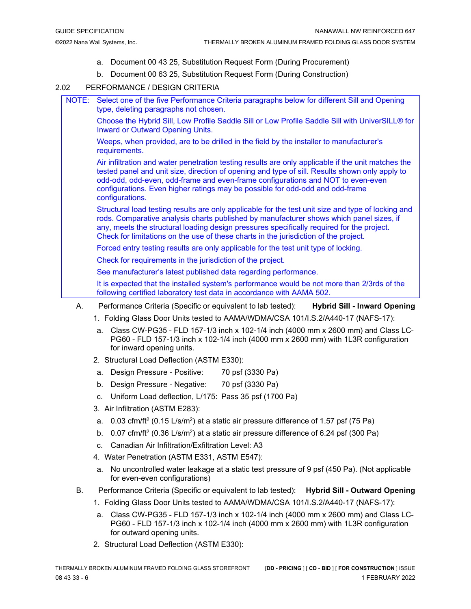- a. Document 00 43 25, Substitution Request Form (During Procurement)
- b. Document 00 63 25, Substitution Request Form (During Construction)

#### 2.02 PERFORMANCE / DESIGN CRITERIA

NOTE: Select one of the five Performance Criteria paragraphs below for different Sill and Opening type, deleting paragraphs not chosen.

> Choose the Hybrid Sill, Low Profile Saddle Sill or Low Profile Saddle Sill with UniverSILL® for Inward or Outward Opening Units.

Weeps, when provided, are to be drilled in the field by the installer to manufacturer's requirements.

Air infiltration and water penetration testing results are only applicable if the unit matches the tested panel and unit size, direction of opening and type of sill. Results shown only apply to odd-odd, odd-even, odd-frame and even-frame configurations and NOT to even-even configurations. Even higher ratings may be possible for odd-odd and odd-frame configurations.

Structural load testing results are only applicable for the test unit size and type of locking and rods. Comparative analysis charts published by manufacturer shows which panel sizes, if any, meets the structural loading design pressures specifically required for the project. Check for limitations on the use of these charts in the jurisdiction of the project.

Forced entry testing results are only applicable for the test unit type of locking.

Check for requirements in the jurisdiction of the project.

See manufacturer's latest published data regarding performance.

It is expected that the installed system's performance would be not more than 2/3rds of the following certified laboratory test data in accordance with AAMA 502.

- A. Performance Criteria (Specific or equivalent to lab tested): **Hybrid Sill - Inward Opening**
	- 1. Folding Glass Door Units tested to AAMA/WDMA/CSA 101/I.S.2/A440-17 (NAFS-17):
	- a. Class CW-PG35 FLD 157-1/3 inch x 102-1/4 inch (4000 mm x 2600 mm) and Class LC-PG60 - FLD 157-1/3 inch x 102-1/4 inch (4000 mm x 2600 mm) with 1L3R configuration for inward opening units.
	- 2. Structural Load Deflection (ASTM E330):
	- a. Design Pressure Positive: 70 psf (3330 Pa)
	- b. Design Pressure Negative: 70 psf (3330 Pa)
	- c. Uniform Load deflection, L/175: Pass 35 psf (1700 Pa)
	- 3. Air Infiltration (ASTM E283):
	- a.  $0.03$  cfm/ft<sup>2</sup> (0.15 L/s/m<sup>2</sup>) at a static air pressure difference of 1.57 psf (75 Pa)
	- b. 0.07 cfm/ft<sup>2</sup> (0.36 L/s/m<sup>2</sup>) at a static air pressure difference of 6.24 psf (300 Pa)
	- c. Canadian Air Infiltration/Exfiltration Level: A3
	- 4. Water Penetration (ASTM E331, ASTM E547):
	- a. No uncontrolled water leakage at a static test pressure of 9 psf (450 Pa). (Not applicable for even-even configurations)
- B. Performance Criteria (Specific or equivalent to lab tested): **Hybrid Sill - Outward Opening**
	- 1. Folding Glass Door Units tested to AAMA/WDMA/CSA 101/I.S.2/A440-17 (NAFS-17):
	- a. Class CW-PG35 FLD 157-1/3 inch x 102-1/4 inch (4000 mm x 2600 mm) and Class LC-PG60 - FLD 157-1/3 inch x 102-1/4 inch (4000 mm x 2600 mm) with 1L3R configuration for outward opening units.
	- 2. Structural Load Deflection (ASTM E330):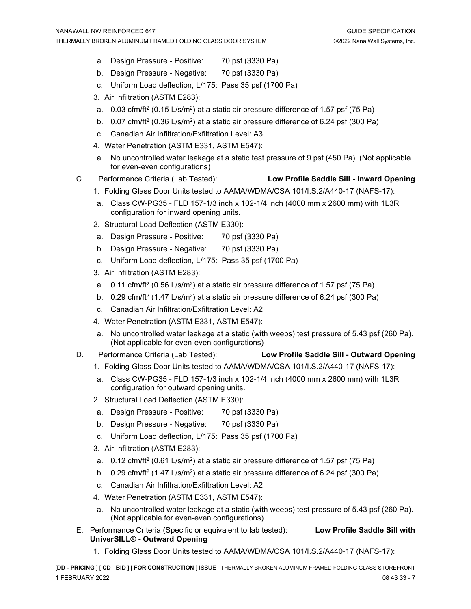- a. Design Pressure Positive: 70 psf (3330 Pa)
- b. Design Pressure Negative: 70 psf (3330 Pa)
- c. Uniform Load deflection, L/175: Pass 35 psf (1700 Pa)
- 3. Air Infiltration (ASTM E283):
- a.  $0.03$  cfm/ft<sup>2</sup> (0.15 L/s/m<sup>2</sup>) at a static air pressure difference of 1.57 psf (75 Pa)
- b. 0.07 cfm/ft2 (0.36 L/s/m2) at a static air pressure difference of 6.24 psf (300 Pa)
- c. Canadian Air Infiltration/Exfiltration Level: A3
- 4. Water Penetration (ASTM E331, ASTM E547):
- a. No uncontrolled water leakage at a static test pressure of 9 psf (450 Pa). (Not applicable for even-even configurations)
- C. Performance Criteria (Lab Tested): **Low Profile Saddle Sill - Inward Opening**
	- 1. Folding Glass Door Units tested to AAMA/WDMA/CSA 101/I.S.2/A440-17 (NAFS-17):
	- a. Class CW-PG35 FLD 157-1/3 inch x 102-1/4 inch (4000 mm x 2600 mm) with 1L3R configuration for inward opening units.
	- 2. Structural Load Deflection (ASTM E330):
	- a. Design Pressure Positive: 70 psf (3330 Pa)
	- b. Design Pressure Negative: 70 psf (3330 Pa)
	- c. Uniform Load deflection, L/175: Pass 35 psf (1700 Pa)
	- 3. Air Infiltration (ASTM E283):
	- a.  $0.11 \text{ cfm/ft}^2$  (0.56 L/s/m<sup>2</sup>) at a static air pressure difference of 1.57 psf (75 Pa)
	- b. 0.29 cfm/ft<sup>2</sup> (1.47 L/s/m<sup>2</sup>) at a static air pressure difference of 6.24 psf (300 Pa)
	- c. Canadian Air Infiltration/Exfiltration Level: A2
	- 4. Water Penetration (ASTM E331, ASTM E547):
	- a. No uncontrolled water leakage at a static (with weeps) test pressure of 5.43 psf (260 Pa). (Not applicable for even-even configurations)
- D. Performance Criteria (Lab Tested): **Low Profile Saddle Sill - Outward Opening**
	- 1. Folding Glass Door Units tested to AAMA/WDMA/CSA 101/I.S.2/A440-17 (NAFS-17):
	- a. Class CW-PG35 FLD 157-1/3 inch x 102-1/4 inch (4000 mm x 2600 mm) with 1L3R configuration for outward opening units.
	- 2. Structural Load Deflection (ASTM E330):
	- a. Design Pressure Positive: 70 psf (3330 Pa)
	- b. Design Pressure Negative: 70 psf (3330 Pa)
	- c. Uniform Load deflection, L/175: Pass 35 psf (1700 Pa)
	- 3. Air Infiltration (ASTM E283):
	- a. 0.12 cfm/ft2 (0.61 L/s/m2) at a static air pressure difference of 1.57 psf (75 Pa)
	- b. 0.29 cfm/ft<sup>2</sup> (1.47 L/s/m<sup>2</sup>) at a static air pressure difference of 6.24 psf (300 Pa)
	- c. Canadian Air Infiltration/Exfiltration Level: A2
	- 4. Water Penetration (ASTM E331, ASTM E547):
	- a. No uncontrolled water leakage at a static (with weeps) test pressure of 5.43 psf (260 Pa). (Not applicable for even-even configurations)
- E. Performance Criteria (Specific or equivalent to lab tested): **Low Profile Saddle Sill with UniverSILL® - Outward Opening**
	- 1. Folding Glass Door Units tested to AAMA/WDMA/CSA 101/I.S.2/A440-17 (NAFS-17):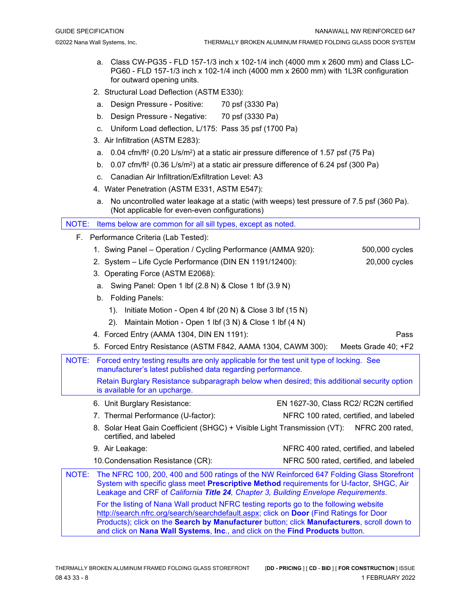- a. Class CW-PG35 FLD 157-1/3 inch x 102-1/4 inch (4000 mm x 2600 mm) and Class LC-PG60 - FLD 157-1/3 inch x 102-1/4 inch (4000 mm x 2600 mm) with 1L3R configuration for outward opening units.
- 2. Structural Load Deflection (ASTM E330):
- a. Design Pressure Positive: 70 psf (3330 Pa)
- b. Design Pressure Negative: 70 psf (3330 Pa)
- c. Uniform Load deflection, L/175: Pass 35 psf (1700 Pa)
- 3. Air Infiltration (ASTM E283):
- a.  $0.04 \text{ cfm/ft}^2$  (0.20 L/s/m<sup>2</sup>) at a static air pressure difference of 1.57 psf (75 Pa)
- b. 0.07 cfm/ft<sup>2</sup> (0.36 L/s/m<sup>2</sup>) at a static air pressure difference of 6.24 psf (300 Pa)
- c. Canadian Air Infiltration/Exfiltration Level: A3
- 4. Water Penetration (ASTM E331, ASTM E547):
- a. No uncontrolled water leakage at a static (with weeps) test pressure of 7.5 psf (360 Pa). (Not applicable for even-even configurations)

NOTE: Items below are common for all sill types, except as noted.

- F. Performance Criteria (Lab Tested):
	- 1. Swing Panel Operation / Cycling Performance (AMMA 920): 500,000 cycles
	- 2. System Life Cycle Performance (DIN EN 1191/12400): 20,000 cycles
	- 3. Operating Force (ASTM E2068):
	- a. Swing Panel: Open 1 lbf (2.8 N) & Close 1 lbf (3.9 N)
	- b. Folding Panels:
		- 1). Initiate Motion Open 4 lbf (20 N) & Close 3 lbf (15 N)
		- 2). Maintain Motion Open 1 lbf (3 N) & Close 1 lbf (4 N)
	- 4. Forced Entry (AAMA 1304, DIN EN 1191): Pass
	- 5. Forced Entry Resistance (ASTM F842, AAMA 1304, CAWM 300): Meets Grade 40; +F2
- NOTE: Forced entry testing results are only applicable for the test unit type of locking. See manufacturer's latest published data regarding performance. Retain Burglary Resistance subparagraph below when desired; this additional security option
	- is available for an upcharge.
	- 6. Unit Burglary Resistance: EN 1627-30, Class RC2/ RC2N certified

7. Thermal Performance (U-factor): NFRC 100 rated, certified, and labeled

- 8. Solar Heat Gain Coefficient (SHGC) + Visible Light Transmission (VT): NFRC 200 rated, certified, and labeled
- 9. Air Leakage: NFRC 400 rated, certified, and labeled
- 10.Condensation Resistance (CR): NFRC 500 rated, certified, and labeled
- NOTE: The NFRC 100, 200, 400 and 500 ratings of the NW Reinforced 647 Folding Glass Storefront System with specific glass meet **Prescriptive Method** requirements for U-factor, SHGC, Air Leakage and CRF of *California Title 24, Chapter 3, Building Envelope Requirements*. For the listing of Nana Wall product NFRC testing reports go to the following website [http://search.nfrc.org/search/searchdefault.aspx;](http://search.nfrc.org/search/searchdefault.aspx) click on **Door** (Find Ratings for Door Products); click on the **Search by Manufacturer** button; click **Manufacturers**, scroll down to and click on **Nana Wall Systems**, **Inc**., and click on the **Find Products** button.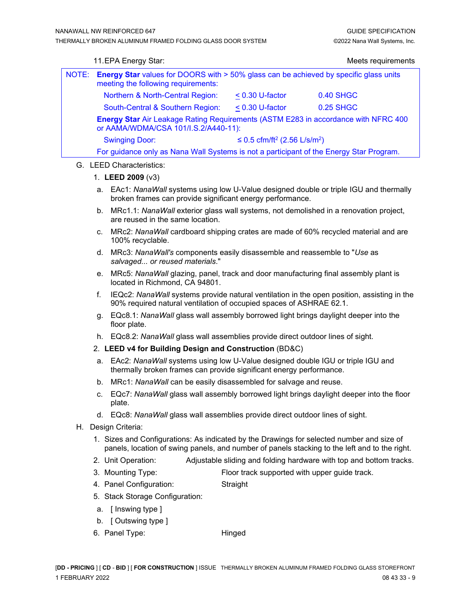|       | 11. EPA Energy Star:                                                                                                                |                                                      | Meets requirements |  |  |
|-------|-------------------------------------------------------------------------------------------------------------------------------------|------------------------------------------------------|--------------------|--|--|
| NOTE: | <b>Energy Star</b> values for DOORS with > 50% glass can be achieved by specific glass units<br>meeting the following requirements: |                                                      |                    |  |  |
|       | Northern & North-Central Region:                                                                                                    | $< 0.30$ U-factor                                    | 0.40 SHGC          |  |  |
|       | South-Central & Southern Region:                                                                                                    | $< 0.30$ U-factor                                    | 0.25 SHGC          |  |  |
|       | <b>Energy Star Air Leakage Rating Requirements (ASTM E283 in accordance with NFRC 400</b><br>or AAMA/WDMA/CSA 101/I.S.2/A440-11):   |                                                      |                    |  |  |
|       | <b>Swinging Door:</b>                                                                                                               | ≤ 0.5 cfm/ft <sup>2</sup> (2.56 L/s/m <sup>2</sup> ) |                    |  |  |
|       | For guidance only as Nana Wall Systems is not a participant of the Energy Star Program.                                             |                                                      |                    |  |  |
|       |                                                                                                                                     |                                                      |                    |  |  |

## G. LEED Characteristics:

#### 1. **LEED 2009** (v3)

- a. EAc1: *NanaWall* systems using low U-Value designed double or triple IGU and thermally broken frames can provide significant energy performance.
- b. MRc1.1: *NanaWall* exterior glass wall systems, not demolished in a renovation project, are reused in the same location.
- c. MRc2: *NanaWall* cardboard shipping crates are made of 60% recycled material and are 100% recyclable.
- d. MRc3: *NanaWall's* components easily disassemble and reassemble to "*Use* as *salvaged... or reused materials*."
- e. MRc5: *NanaWall* glazing, panel, track and door manufacturing final assembly plant is located in Richmond, CA 94801.
- f. IEQc2: *NanaWall* systems provide natural ventilation in the open position, assisting in the 90% required natural ventilation of occupied spaces of ASHRAE 62.1.
- g. EQc8.1: *NanaWall* glass wall assembly borrowed light brings daylight deeper into the floor plate.
- h. EQc8.2: *NanaWall* glass wall assemblies provide direct outdoor lines of sight.

## 2. **LEED v4 for Building Design and Construction** (BD&C)

- a. EAc2: *NanaWall* systems using low U-Value designed double IGU or triple IGU and thermally broken frames can provide significant energy performance.
- b. MRc1: *NanaWall* can be easily disassembled for salvage and reuse.
- c. EQc7: *NanaWall* glass wall assembly borrowed light brings daylight deeper into the floor plate.
- d. EQc8: *NanaWall* glass wall assemblies provide direct outdoor lines of sight.
- H. Design Criteria:
	- 1. Sizes and Configurations: As indicated by the Drawings for selected number and size of panels, location of swing panels, and number of panels stacking to the left and to the right.
	- 2. Unit Operation: Adjustable sliding and folding hardware with top and bottom tracks.
	- 3. Mounting Type: Floor track supported with upper guide track.
	- 4. Panel Configuration: Straight
	- 5. Stack Storage Configuration:
	- a. [ Inswing type ]
	- b. [ Outswing type ]
	- 6. Panel Type: Hinged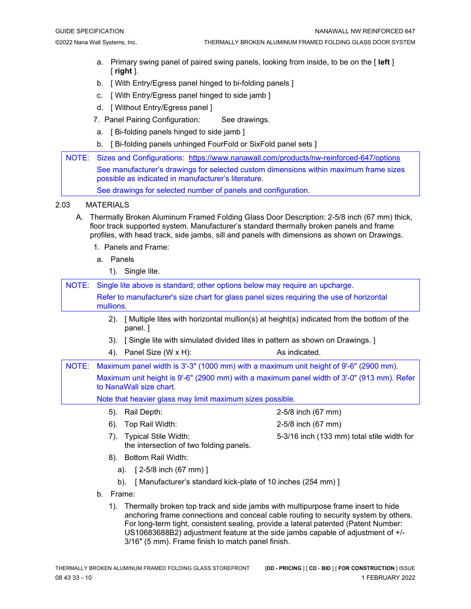- a. Primary swing panel of paired swing panels, looking from inside, to be on the [ **left** ] [ **right** ].
- b. [ With Entry/Egress panel hinged to bi-folding panels ]
- c. [ With Entry/Egress panel hinged to side jamb ]
- d. [ Without Entry/Egress panel ]
- 7. Panel Pairing Configuration: See drawings.
- a. [ Bi-folding panels hinged to side jamb ]
- b. [ Bi-folding panels unhinged FourFold or SixFold panel sets ]
- NOTE: Sizes and Configurations: <https://www.nanawall.com/products/nw-reinforced-647/options> See manufacturer's drawings for selected custom dimensions within maximum frame sizes possible as indicated in manufacturer's literature. See drawings for selected number of panels and configuration.

#### 2.03 MATERIALS

- A. Thermally Broken Aluminum Framed Folding Glass Door Description: 2-5/8 inch (67 mm) thick, floor track supported system. Manufacturer's standard thermally broken panels and frame profiles, with head track, side jambs, sill and panels with dimensions as shown on Drawings.
	- 1. Panels and Frame:
	- a. Panels
		- 1). Single lite.

| NOTE: | Single lite above is standard; other options below may require an upcharge.                                           |                                            |  |  |  |
|-------|-----------------------------------------------------------------------------------------------------------------------|--------------------------------------------|--|--|--|
|       | Refer to manufacturer's size chart for glass panel sizes requiring the use of horizontal<br>mullions.                 |                                            |  |  |  |
|       | [Multiple lites with horizontal mullion(s) at height(s) indicated from the bottom of the<br>$(2)$ .<br>panel. 1       |                                            |  |  |  |
|       | [Single lite with simulated divided lites in pattern as shown on Drawings.]<br>3).                                    |                                            |  |  |  |
|       | Panel Size (W x H):<br>4).                                                                                            | As indicated.                              |  |  |  |
| NOTE: | Maximum panel width is 3'-3" (1000 mm) with a maximum unit height of 9'-6" (2900 mm).                                 |                                            |  |  |  |
|       | Maximum unit height is 9'-6" (2900 mm) with a maximum panel width of 3'-0" (913 mm). Refer<br>to NanaWall size chart. |                                            |  |  |  |
|       | Note that heavier glass may limit maximum sizes possible.                                                             |                                            |  |  |  |
|       | Rail Depth:<br>5).                                                                                                    | 2-5/8 inch (67 mm)                         |  |  |  |
|       | Top Rail Width:<br>$6$ ).                                                                                             | 2-5/8 inch (67 mm)                         |  |  |  |
|       | <b>Typical Stile Width:</b><br>7).<br>the intersection of two folding panels.                                         | 5-3/16 inch (133 mm) total stile width for |  |  |  |
|       | 8). Bottom Rail Width:                                                                                                |                                            |  |  |  |
|       | $[2-5/8$ inch (67 mm)]<br>a).                                                                                         |                                            |  |  |  |
|       | b).<br>[Manufacturer's standard kick-plate of 10 inches (254 mm)]                                                     |                                            |  |  |  |
|       |                                                                                                                       |                                            |  |  |  |

- b. Frame:
	- 1). Thermally broken top track and side jambs with multipurpose frame insert to hide anchoring frame connections and conceal cable routing to security system by others. For long-term tight, consistent sealing, provide a lateral patented (Patent Number: US10683688B2) adjustment feature at the side jambs capable of adjustment of +/- 3/16″ (5 mm). Frame finish to match panel finish.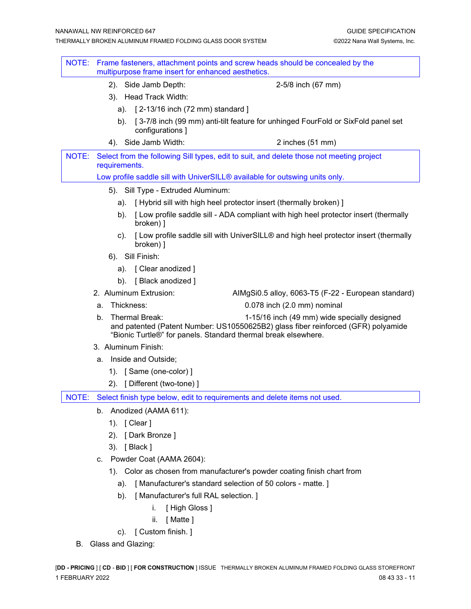| NOTE: |                                                                             | multipurpose frame insert for enhanced aesthetics. | Frame fasteners, attachment points and screw heads should be concealed by the                                                                                                                       |  |  |
|-------|-----------------------------------------------------------------------------|----------------------------------------------------|-----------------------------------------------------------------------------------------------------------------------------------------------------------------------------------------------------|--|--|
|       |                                                                             | 2). Side Jamb Depth:                               | 2-5/8 inch (67 mm)                                                                                                                                                                                  |  |  |
|       |                                                                             | 3). Head Track Width:                              |                                                                                                                                                                                                     |  |  |
|       | a).                                                                         | [ 2-13/16 inch (72 mm) standard ]                  |                                                                                                                                                                                                     |  |  |
|       | b).                                                                         | configurations ]                                   | [3-7/8 inch (99 mm) anti-tilt feature for unhinged FourFold or SixFold panel set                                                                                                                    |  |  |
|       |                                                                             | 4). Side Jamb Width:                               | 2 inches (51 mm)                                                                                                                                                                                    |  |  |
| NOTE: | requirements.                                                               |                                                    | Select from the following Sill types, edit to suit, and delete those not meeting project                                                                                                            |  |  |
|       | Low profile saddle sill with UniverSILL® available for outswing units only. |                                                    |                                                                                                                                                                                                     |  |  |
|       |                                                                             | 5). Sill Type - Extruded Aluminum:                 |                                                                                                                                                                                                     |  |  |
|       |                                                                             | a).                                                | [Hybrid sill with high heel protector insert (thermally broken)]                                                                                                                                    |  |  |
|       | b).                                                                         | broken) ]                                          | [Low profile saddle sill - ADA compliant with high heel protector insert (thermally                                                                                                                 |  |  |
|       | $\mathsf{c}$ ).                                                             | broken) ]                                          | [Low profile saddle sill with UniverSILL® and high heel protector insert (thermally                                                                                                                 |  |  |
|       |                                                                             | 6). Sill Finish:                                   |                                                                                                                                                                                                     |  |  |
|       |                                                                             | a). [ Clear anodized ]                             |                                                                                                                                                                                                     |  |  |
|       | b).                                                                         | [Black anodized]                                   |                                                                                                                                                                                                     |  |  |
|       |                                                                             | 2. Aluminum Extrusion:                             | AIMgSi0.5 alloy, 6063-T5 (F-22 - European standard)                                                                                                                                                 |  |  |
|       | a.                                                                          | Thickness:                                         | 0.078 inch (2.0 mm) nominal                                                                                                                                                                         |  |  |
|       | b.                                                                          | Thermal Break:                                     | 1-15/16 inch (49 mm) wide specially designed<br>and patented (Patent Number: US10550625B2) glass fiber reinforced (GFR) polyamide<br>"Bionic Turtle®" for panels. Standard thermal break elsewhere. |  |  |
|       |                                                                             | 3. Aluminum Finish:                                |                                                                                                                                                                                                     |  |  |
|       |                                                                             | a. Inside and Outside;                             |                                                                                                                                                                                                     |  |  |
|       |                                                                             | 1). [Same (one-color) ]                            |                                                                                                                                                                                                     |  |  |
|       |                                                                             | 2). [ Different (two-tone) ]                       |                                                                                                                                                                                                     |  |  |
|       |                                                                             |                                                    | NOTE: Select finish type below, edit to requirements and delete items not used.                                                                                                                     |  |  |
|       |                                                                             | b. Anodized (AAMA 611):                            |                                                                                                                                                                                                     |  |  |
|       |                                                                             | 1). [ Clear ]                                      |                                                                                                                                                                                                     |  |  |
|       | $(2)$ .                                                                     | [Dark Bronze]                                      |                                                                                                                                                                                                     |  |  |
|       |                                                                             | 3). [Black]                                        |                                                                                                                                                                                                     |  |  |
|       |                                                                             | c. Powder Coat (AAMA 2604):                        |                                                                                                                                                                                                     |  |  |
|       |                                                                             |                                                    | 1). Color as chosen from manufacturer's powder coating finish chart from                                                                                                                            |  |  |
|       | a).                                                                         |                                                    | [Manufacturer's standard selection of 50 colors - matte.]                                                                                                                                           |  |  |
|       | b).                                                                         | [ Manufacturer's full RAL selection. ]             |                                                                                                                                                                                                     |  |  |
|       |                                                                             | [High Gloss]<br>i.                                 |                                                                                                                                                                                                     |  |  |
|       |                                                                             | [Matte]<br>ii.                                     |                                                                                                                                                                                                     |  |  |
|       |                                                                             | c). [ Custom finish. ]                             |                                                                                                                                                                                                     |  |  |
|       | B. Glass and Glazing:                                                       |                                                    |                                                                                                                                                                                                     |  |  |
|       |                                                                             |                                                    | [DD - PRICING ] [ CD - BID ] [ FOR CONSTRUCTION ] ISSUE THERMALLY BROKEN ALUMINUM FRAMED FOLDING GLASS STOREFRONT                                                                                   |  |  |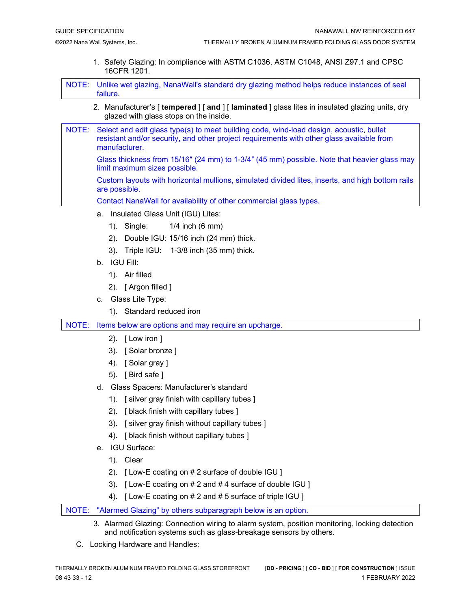1. Safety Glazing: In compliance with ASTM C1036, ASTM C1048, ANSI Z97.1 and CPSC 16CFR 1201.

NOTE: Unlike wet glazing, NanaWall's standard dry glazing method helps reduce instances of seal failure.

- 2. Manufacturer's [ **tempered** ] [ **and** ] [ **laminated** ] glass lites in insulated glazing units, dry glazed with glass stops on the inside.
- NOTE: Select and edit glass type(s) to meet building code, wind-load design, acoustic, bullet resistant and/or security, and other project requirements with other glass available from manufacturer.

Glass thickness from 15/16″ (24 mm) to 1-3/4″ (45 mm) possible. Note that heavier glass may limit maximum sizes possible.

Custom layouts with horizontal mullions, simulated divided lites, inserts, and high bottom rails are possible.

Contact NanaWall for availability of other commercial glass types.

- a. Insulated Glass Unit (IGU) Lites:
	- 1). Single: 1/4 inch (6 mm)
	- 2). Double IGU: 15/16 inch (24 mm) thick.
	- 3). Triple IGU: 1-3/8 inch (35 mm) thick.
- b. IGU Fill:
	- 1). Air filled
	- 2). [ Argon filled ]
- c. Glass Lite Type:
	- 1). Standard reduced iron

NOTE: Items below are options and may require an upcharge.

- 2). [ Low iron ]
- 3). [ Solar bronze ]
- 4). [ Solar gray ]
- 5). [ Bird safe ]
- d. Glass Spacers: Manufacturer's standard
	- 1). [ silver gray finish with capillary tubes ]
	- 2). [ black finish with capillary tubes ]
	- 3). [ silver gray finish without capillary tubes ]
	- 4). [ black finish without capillary tubes ]
- e. IGU Surface:
	- 1). Clear
	- 2). [ Low-E coating on # 2 surface of double IGU ]
	- 3). [ Low-E coating on # 2 and # 4 surface of double IGU ]
	- 4). [ Low-E coating on # 2 and # 5 surface of triple IGU ]

NOTE: "Alarmed Glazing" by others subparagraph below is an option.

- 3. Alarmed Glazing: Connection wiring to alarm system, position monitoring, locking detection and notification systems such as glass-breakage sensors by others.
- C. Locking Hardware and Handles: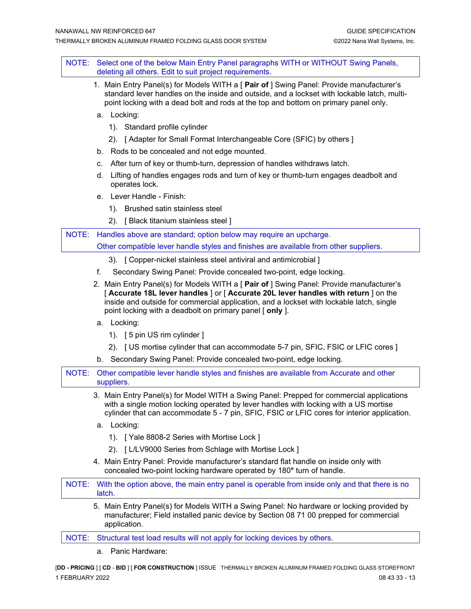NOTE: Select one of the below Main Entry Panel paragraphs WITH or WITHOUT Swing Panels, deleting all others. Edit to suit project requirements.

- 1. Main Entry Panel(s) for Models WITH a [ **Pair of** ] Swing Panel: Provide manufacturer's standard lever handles on the inside and outside, and a lockset with lockable latch, multipoint locking with a dead bolt and rods at the top and bottom on primary panel only.
- a. Locking:
	- 1). Standard profile cylinder
	- 2). [ Adapter for Small Format Interchangeable Core (SFIC) by others ]
- b. Rods to be concealed and not edge mounted.
- c. After turn of key or thumb-turn, depression of handles withdraws latch.
- d. Lifting of handles engages rods and turn of key or thumb-turn engages deadbolt and operates lock.
- e. Lever Handle Finish:
	- 1). Brushed satin stainless steel
	- 2). [ Black titanium stainless steel ]

NOTE: Handles above are standard; option below may require an upcharge. Other compatible lever handle styles and finishes are available from other suppliers.

- 3). [ Copper-nickel stainless steel antiviral and antimicrobial ]
- f. Secondary Swing Panel: Provide concealed two-point, edge locking.
- 2. Main Entry Panel(s) for Models WITH a [ **Pair of** ] Swing Panel: Provide manufacturer's [ **Accurate 18L lever handles** ] or [ **Accurate 20L lever handles with return** ] on the inside and outside for commercial application, and a lockset with lockable latch, single point locking with a deadbolt on primary panel [ **only** ].
- a. Locking:
	- 1). [ 5 pin US rim cylinder ]
	- 2). [ US mortise cylinder that can accommodate 5-7 pin, SFIC, FSIC or LFIC cores ]
- b. Secondary Swing Panel: Provide concealed two-point, edge locking.

| NOTE: Other compatible lever handle styles and finishes are available from Accurate and other |
|-----------------------------------------------------------------------------------------------|
| suppliers.                                                                                    |

- 3. Main Entry Panel(s) for Model WITH a Swing Panel: Prepped for commercial applications with a single motion locking operated by lever handles with locking with a US mortise cylinder that can accommodate 5 - 7 pin, SFIC, FSIC or LFIC cores for interior application.
- a. Locking:
	- 1). [ Yale 8808-2 Series with Mortise Lock ]
	- 2). [ L/LV9000 Series from Schlage with Mortise Lock ]
- 4. Main Entry Panel: Provide manufacturer's standard flat handle on inside only with concealed two-point locking hardware operated by 180**°** turn of handle.

NOTE: With the option above, the main entry panel is operable from inside only and that there is no latch.

5. Main Entry Panel(s) for Models WITH a Swing Panel: No hardware or locking provided by manufacturer; Field installed panic device by Section 08 71 00 prepped for commercial application.

NOTE: Structural test load results will not apply for locking devices by others.

a. Panic Hardware: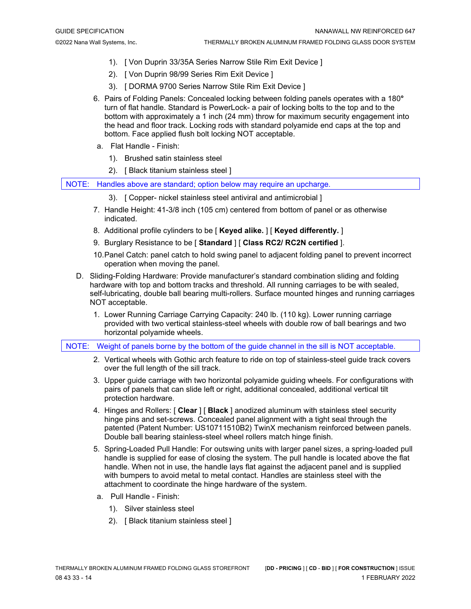- 1). [ Von Duprin 33/35A Series Narrow Stile Rim Exit Device ]
- 2). [ Von Duprin 98/99 Series Rim Exit Device ]
- 3). [ DORMA 9700 Series Narrow Stile Rim Exit Device ]
- 6. Pairs of Folding Panels: Concealed locking between folding panels operates with a 180**°**  turn of flat handle. Standard is PowerLock- a pair of locking bolts to the top and to the bottom with approximately a 1 inch (24 mm) throw for maximum security engagement into the head and floor track. Locking rods with standard polyamide end caps at the top and bottom. Face applied flush bolt locking NOT acceptable.
- a. Flat Handle Finish:
	- 1). Brushed satin stainless steel
	- 2). [ Black titanium stainless steel ]

NOTE: Handles above are standard; option below may require an upcharge.

- 3). [ Copper- nickel stainless steel antiviral and antimicrobial ]
- 7. Handle Height: 41-3/8 inch (105 cm) centered from bottom of panel or as otherwise indicated.
- 8. Additional profile cylinders to be [ **Keyed alike.** ] [ **Keyed differently.** ]
- 9. Burglary Resistance to be [ **Standard** ] [ **Class RC2/ RC2N certified** ].
- 10.Panel Catch: panel catch to hold swing panel to adjacent folding panel to prevent incorrect operation when moving the panel.
- D. Sliding-Folding Hardware: Provide manufacturer's standard combination sliding and folding hardware with top and bottom tracks and threshold. All running carriages to be with sealed, self-lubricating, double ball bearing multi-rollers. Surface mounted hinges and running carriages NOT acceptable.
	- 1. Lower Running Carriage Carrying Capacity: 240 lb. (110 kg). Lower running carriage provided with two vertical stainless-steel wheels with double row of ball bearings and two horizontal polyamide wheels.

NOTE: Weight of panels borne by the bottom of the guide channel in the sill is NOT acceptable.

- 2. Vertical wheels with Gothic arch feature to ride on top of stainless-steel guide track covers over the full length of the sill track.
- 3. Upper guide carriage with two horizontal polyamide guiding wheels. For configurations with pairs of panels that can slide left or right, additional concealed, additional vertical tilt protection hardware.
- 4. Hinges and Rollers: [ **Clear** ] [ **Black** ] anodized aluminum with stainless steel security hinge pins and set-screws. Concealed panel alignment with a tight seal through the patented (Patent Number: US10711510B2) TwinX mechanism reinforced between panels. Double ball bearing stainless-steel wheel rollers match hinge finish.
- 5. Spring-Loaded Pull Handle: For outswing units with larger panel sizes, a spring-loaded pull handle is supplied for ease of closing the system. The pull handle is located above the flat handle. When not in use, the handle lays flat against the adjacent panel and is supplied with bumpers to avoid metal to metal contact. Handles are stainless steel with the attachment to coordinate the hinge hardware of the system.
- a. Pull Handle Finish:
	- 1). Silver stainless steel
	- 2). [ Black titanium stainless steel ]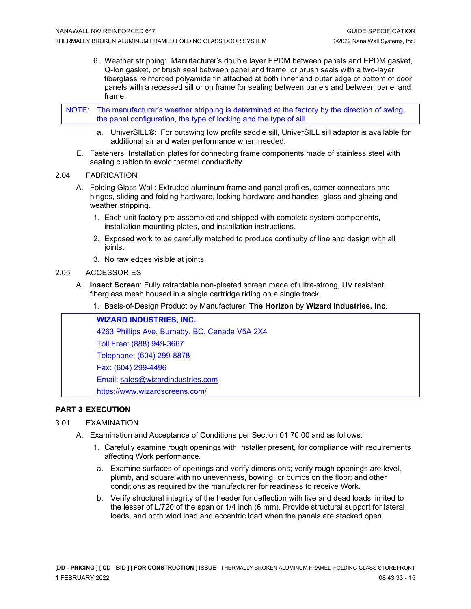6. Weather stripping: Manufacturer's double layer EPDM between panels and EPDM gasket, Q-Ion gasket, or brush seal between panel and frame, or brush seals with a two-layer fiberglass reinforced polyamide fin attached at both inner and outer edge of bottom of door panels with a recessed sill or on frame for sealing between panels and between panel and frame.

NOTE: The manufacturer's weather stripping is determined at the factory by the direction of swing, the panel configuration, the type of locking and the type of sill.

- a. UniverSILL®: For outswing low profile saddle sill, UniverSILL sill adaptor is available for additional air and water performance when needed.
- E. Fasteners: Installation plates for connecting frame components made of stainless steel with sealing cushion to avoid thermal conductivity.

#### 2.04 FABRICATION

- A. Folding Glass Wall: Extruded aluminum frame and panel profiles, corner connectors and hinges, sliding and folding hardware, locking hardware and handles, glass and glazing and weather stripping.
	- 1. Each unit factory pre-assembled and shipped with complete system components, installation mounting plates, and installation instructions.
	- 2. Exposed work to be carefully matched to produce continuity of line and design with all joints.
	- 3. No raw edges visible at joints.

#### 2.05 ACCESSORIES

- A. **Insect Screen**: Fully retractable non-pleated screen made of ultra-strong, UV resistant fiberglass mesh housed in a single cartridge riding on a single track.
	- 1. Basis-of-Design Product by Manufacturer: **The Horizon** by **Wizard Industries, Inc**.

**WIZARD INDUSTRIES, INC.** 4263 Phillips Ave, Burnaby, BC, Canada V5A 2X4 Toll Free: (888) 949-3667 Telephone: (604) 299-8878 Fax: (604) 299-4496 Email: [sales@wizardindustries.com](mailto:sales@wizardindustries.com) <https://www.wizardscreens.com/>

## **PART 3 EXECUTION**

## 3.01 EXAMINATION

- A. Examination and Acceptance of Conditions per Section 01 70 00 and as follows:
	- 1. Carefully examine rough openings with Installer present, for compliance with requirements affecting Work performance.
	- a. Examine surfaces of openings and verify dimensions; verify rough openings are level, plumb, and square with no unevenness, bowing, or bumps on the floor; and other conditions as required by the manufacturer for readiness to receive Work.
	- b. Verify structural integrity of the header for deflection with live and dead loads limited to the lesser of L/720 of the span or 1/4 inch (6 mm). Provide structural support for lateral loads, and both wind load and eccentric load when the panels are stacked open.